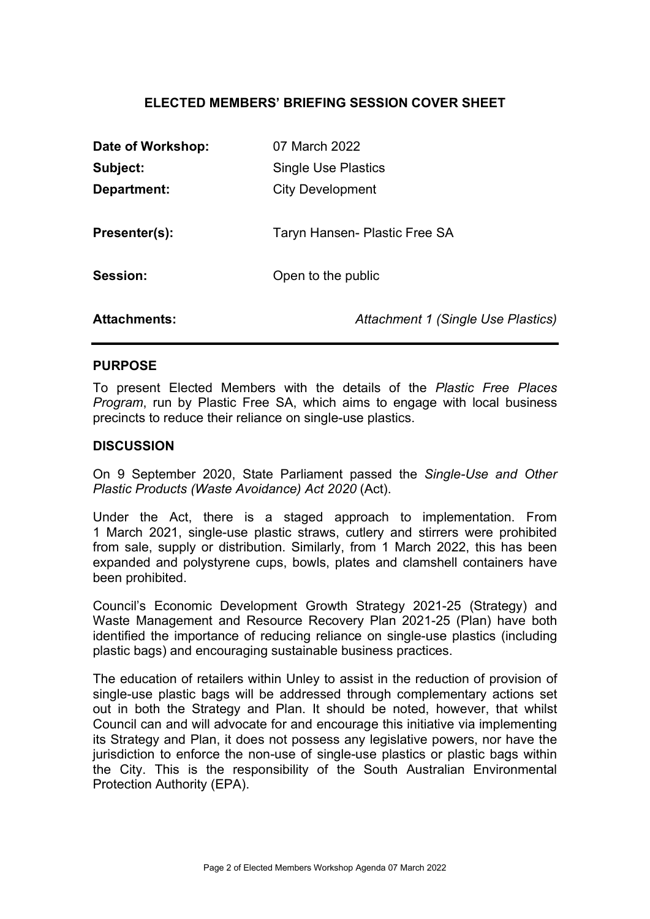# ELECTED MEMBERS' BRIEFING SESSION COVER SHEET

| 07 March 2022                      |
|------------------------------------|
| <b>Single Use Plastics</b>         |
| <b>City Development</b>            |
|                                    |
| Taryn Hansen- Plastic Free SA      |
|                                    |
| Open to the public                 |
|                                    |
| Attachment 1 (Single Use Plastics) |
|                                    |

### PURPOSE

To present Elected Members with the details of the Plastic Free Places Program, run by Plastic Free SA, which aims to engage with local business precincts to reduce their reliance on single-use plastics.

### **DISCUSSION**

On 9 September 2020, State Parliament passed the Single-Use and Other Plastic Products (Waste Avoidance) Act 2020 (Act).

Under the Act, there is a staged approach to implementation. From 1 March 2021, single-use plastic straws, cutlery and stirrers were prohibited from sale, supply or distribution. Similarly, from 1 March 2022, this has been expanded and polystyrene cups, bowls, plates and clamshell containers have been prohibited.

Council's Economic Development Growth Strategy 2021-25 (Strategy) and Waste Management and Resource Recovery Plan 2021-25 (Plan) have both identified the importance of reducing reliance on single-use plastics (including plastic bags) and encouraging sustainable business practices.

The education of retailers within Unley to assist in the reduction of provision of single-use plastic bags will be addressed through complementary actions set out in both the Strategy and Plan. It should be noted, however, that whilst Council can and will advocate for and encourage this initiative via implementing its Strategy and Plan, it does not possess any legislative powers, nor have the jurisdiction to enforce the non-use of single-use plastics or plastic bags within the City. This is the responsibility of the South Australian Environmental Protection Authority (EPA).